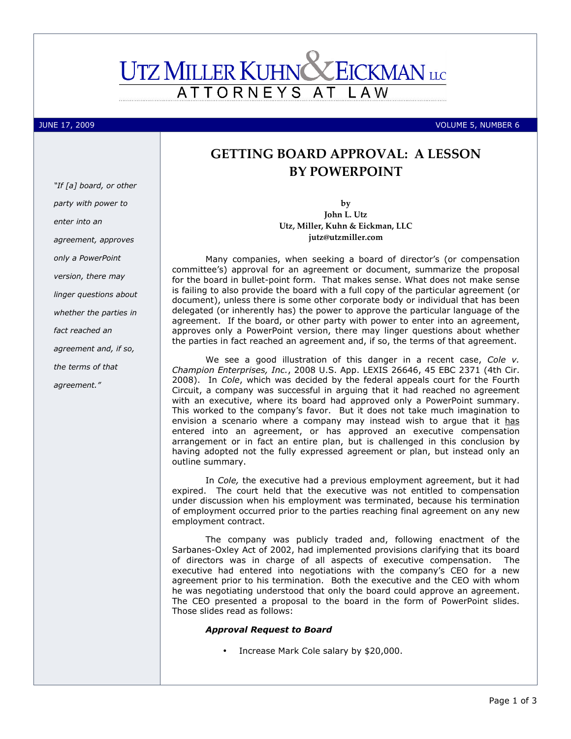# **UTZ MILLER KUHN EICKMAN** LLC **ATTORNEYS** L A W

"If [a] board, or other

JUNE 17, 2009 VOLUME 5, NUMBER 6

# GETTING BOARD APPROVAL: A LESSON BY POWERPOINT

by John L. Utz Utz, Miller, Kuhn & Eickman, LLC jutz@utzmiller.com

Many companies, when seeking a board of director's (or compensation committee's) approval for an agreement or document, summarize the proposal for the board in bullet-point form. That makes sense. What does not make sense is failing to also provide the board with a full copy of the particular agreement (or document), unless there is some other corporate body or individual that has been delegated (or inherently has) the power to approve the particular language of the agreement. If the board, or other party with power to enter into an agreement, approves only a PowerPoint version, there may linger questions about whether the parties in fact reached an agreement and, if so, the terms of that agreement.

We see a good illustration of this danger in a recent case, Cole v. Champion Enterprises, Inc., 2008 U.S. App. LEXIS 26646, 45 EBC 2371 (4th Cir. 2008). In Cole, which was decided by the federal appeals court for the Fourth Circuit, a company was successful in arguing that it had reached no agreement with an executive, where its board had approved only a PowerPoint summary. This worked to the company's favor. But it does not take much imagination to envision a scenario where a company may instead wish to argue that it has entered into an agreement, or has approved an executive compensation arrangement or in fact an entire plan, but is challenged in this conclusion by having adopted not the fully expressed agreement or plan, but instead only an outline summary.

In Cole, the executive had a previous employment agreement, but it had expired. The court held that the executive was not entitled to compensation under discussion when his employment was terminated, because his termination of employment occurred prior to the parties reaching final agreement on any new employment contract.

The company was publicly traded and, following enactment of the Sarbanes-Oxley Act of 2002, had implemented provisions clarifying that its board of directors was in charge of all aspects of executive compensation. The executive had entered into negotiations with the company's CEO for a new agreement prior to his termination. Both the executive and the CEO with whom he was negotiating understood that only the board could approve an agreement. The CEO presented a proposal to the board in the form of PowerPoint slides. Those slides read as follows:

# Approval Request to Board

• Increase Mark Cole salary by \$20,000.

party with power to enter into an agreement, approves only a PowerPoint version, there may linger questions about whether the parties in fact reached an agreement and, if so, the terms of that agreement."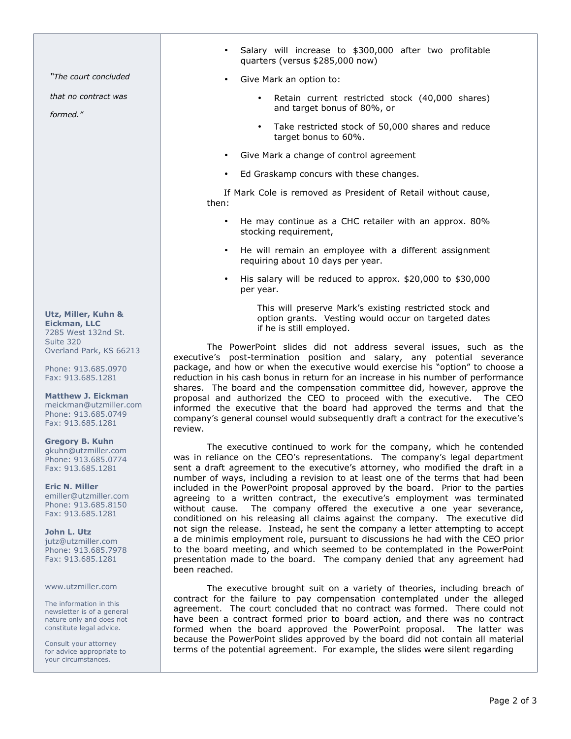"The court concluded

that no contract was

formed."

Utz, Miller, Kuhn & Eickman, LLC 7285 West 132nd St.

Suite 320 Overland Park, KS 66213

Phone: 913.685.0970 Fax: 913.685.1281

Matthew J. Eickman meickman@utzmiller.com Phone: 913.685.0749 Fax: 913.685.1281

#### Gregory B. Kuhn gkuhn@utzmiller.com

Phone: 913.685.0774 Fax: 913.685.1281

Eric N. Miller emiller@utzmiller.com Phone: 913.685.8150 Fax: 913.685.1281

John L. Utz jutz@utzmiller.com Phone: 913.685.7978 Fax: 913.685.1281

## www.utzmiller.com

The information in this newsletter is of a general nature only and does not constitute legal advice.

Consult your attorney for advice appropriate to your circumstances.

- Salary will increase to \$300,000 after two profitable quarters (versus \$285,000 now)
- Give Mark an option to:
	- Retain current restricted stock (40,000 shares) and target bonus of 80%, or
	- Take restricted stock of 50,000 shares and reduce target bonus to 60%.
- Give Mark a change of control agreement
- Ed Graskamp concurs with these changes.

If Mark Cole is removed as President of Retail without cause, then:

- He may continue as a CHC retailer with an approx. 80% stocking requirement,
- He will remain an employee with a different assignment requiring about 10 days per year.
- His salary will be reduced to approx. \$20,000 to \$30,000 per year.

This will preserve Mark's existing restricted stock and option grants. Vesting would occur on targeted dates if he is still employed.

The PowerPoint slides did not address several issues, such as the executive's post-termination position and salary, any potential severance package, and how or when the executive would exercise his "option" to choose a reduction in his cash bonus in return for an increase in his number of performance shares. The board and the compensation committee did, however, approve the proposal and authorized the CEO to proceed with the executive. The CEO informed the executive that the board had approved the terms and that the company's general counsel would subsequently draft a contract for the executive's review.

The executive continued to work for the company, which he contended was in reliance on the CEO's representations. The company's legal department sent a draft agreement to the executive's attorney, who modified the draft in a number of ways, including a revision to at least one of the terms that had been included in the PowerPoint proposal approved by the board. Prior to the parties agreeing to a written contract, the executive's employment was terminated without cause. The company offered the executive a one year severance, conditioned on his releasing all claims against the company. The executive did not sign the release. Instead, he sent the company a letter attempting to accept a de minimis employment role, pursuant to discussions he had with the CEO prior to the board meeting, and which seemed to be contemplated in the PowerPoint presentation made to the board. The company denied that any agreement had been reached.

The executive brought suit on a variety of theories, including breach of contract for the failure to pay compensation contemplated under the alleged agreement. The court concluded that no contract was formed. There could not have been a contract formed prior to board action, and there was no contract formed when the board approved the PowerPoint proposal. The latter was because the PowerPoint slides approved by the board did not contain all material terms of the potential agreement. For example, the slides were silent regarding